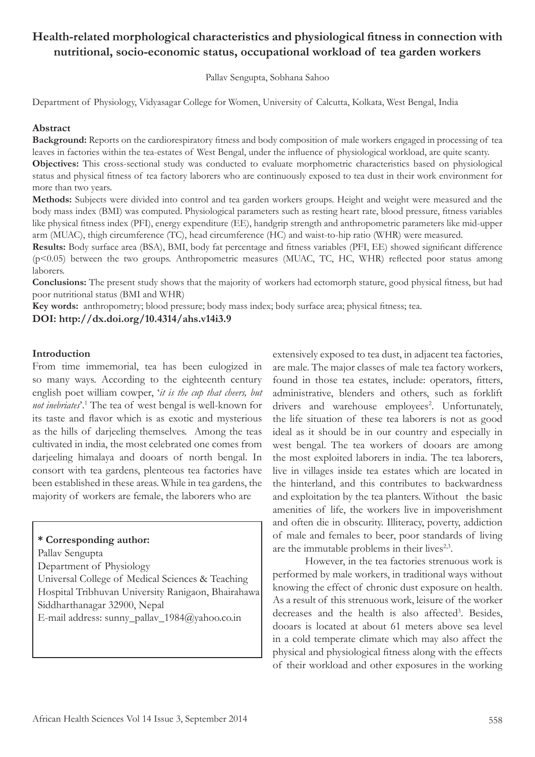# **Health-related morphological characteristics and physiological fitness in connection with nutritional, socio-economic status, occupational workload of tea garden workers**

Pallav Sengupta, Sobhana Sahoo

Department of Physiology, Vidyasagar College for Women, University of Calcutta, Kolkata, West Bengal, India

# **Abstract**

**Background:** Reports on the cardiorespiratory fitness and body composition of male workers engaged in processing of tea leaves in factories within the tea-estates of West Bengal, under the influence of physiological workload, are quite scanty.

**Objectives:** This cross-sectional study was conducted to evaluate morphometric characteristics based on physiological status and physical fitness of tea factory laborers who are continuously exposed to tea dust in their work environment for more than two years.

**Methods:** Subjects were divided into control and tea garden workers groups. Height and weight were measured and the body mass index (BMI) was computed. Physiological parameters such as resting heart rate, blood pressure, fitness variables like physical fitness index (PFI), energy expenditure (EE), handgrip strength and anthropometric parameters like mid-upper arm (MUAC), thigh circumference (TC), head circumference (HC) and waist-to-hip ratio (WHR) were measured.

**Results:** Body surface area (BSA), BMI, body fat percentage and fitness variables (PFI, EE) showed significant difference (p<0.05) between the two groups. Anthropometric measures (MUAC, TC, HC, WHR) reflected poor status among laborers.

**Conclusions:** The present study shows that the majority of workers had ectomorph stature, good physical fitness, but had poor nutritional status (BMI and WHR)

**Key words:** anthropometry; blood pressure; body mass index; body surface area; physical fitness; tea.

**DOI: http://dx.doi.org/10.4314/ahs.v14i3.9**

# **Introduction**

From time immemorial, tea has been eulogized in so many ways. According to the eighteenth century english poet william cowper, '*it is the cup that cheers, but not inebriates*'.<sup>1</sup> The tea of west bengal is well-known for its taste and flavor which is as exotic and mysterious as the hills of darjeeling themselves. Among the teas cultivated in india, the most celebrated one comes from darjeeling himalaya and dooars of north bengal. In consort with tea gardens, plenteous tea factories have been established in these areas. While in tea gardens, the majority of workers are female, the laborers who are

#### **\* Corresponding author:**

 Pallav Sengupta Department of Physiology Universal College of Medical Sciences & Teaching Hospital Tribhuvan University Ranigaon, Bhairahawa Siddharthanagar 32900, Nepal E-mail address: sunny\_pallav\_1984@yahoo.co.in

extensively exposed to tea dust, in adjacent tea factories, are male. The major classes of male tea factory workers, found in those tea estates, include: operators, fitters, administrative, blenders and others, such as forklift drivers and warehouse employees<sup>2</sup>. Unfortunately, the life situation of these tea laborers is not as good ideal as it should be in our country and especially in west bengal. The tea workers of dooars are among the most exploited laborers in india. The tea laborers, live in villages inside tea estates which are located in the hinterland, and this contributes to backwardness and exploitation by the tea planters. Without the basic amenities of life, the workers live in impoverishment and often die in obscurity. Illiteracy, poverty, addiction of male and females to beer, poor standards of living are the immutable problems in their lives $2,3$ .

However, in the tea factories strenuous work is performed by male workers, in traditional ways without knowing the effect of chronic dust exposure on health. As a result of this strenuous work, leisure of the worker decreases and the health is also affected<sup>3</sup>. Besides, dooars is located at about 61 meters above sea level in a cold temperate climate which may also affect the physical and physiological fitness along with the effects of their workload and other exposures in the working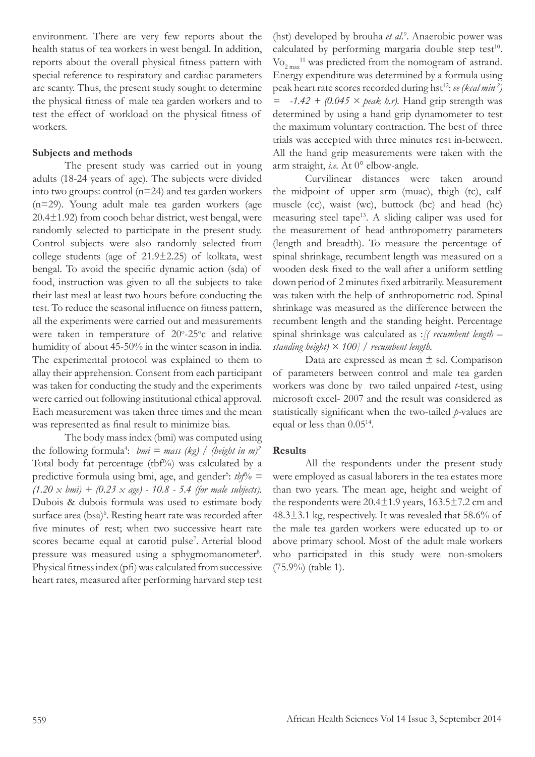environment. There are very few reports about the health status of tea workers in west bengal. In addition, reports about the overall physical fitness pattern with special reference to respiratory and cardiac parameters are scanty. Thus, the present study sought to determine the physical fitness of male tea garden workers and to test the effect of workload on the physical fitness of workers.

# **Subjects and methods**

The present study was carried out in young adults (18-24 years of age). The subjects were divided into two groups: control (n=24) and tea garden workers (n=29). Young adult male tea garden workers (age 20.4±1.92) from cooch behar district, west bengal, were randomly selected to participate in the present study. Control subjects were also randomly selected from college students (age of  $21.9 \pm 2.25$ ) of kolkata, west bengal. To avoid the specific dynamic action (sda) of food, instruction was given to all the subjects to take their last meal at least two hours before conducting the test. To reduce the seasonal influence on fitness pattern, all the experiments were carried out and measurements were taken in temperature of 20°-25°c and relative humidity of about 45-50% in the winter season in india. The experimental protocol was explained to them to allay their apprehension. Consent from each participant was taken for conducting the study and the experiments were carried out following institutional ethical approval. Each measurement was taken three times and the mean was represented as final result to minimize bias.

The body mass index (bmi) was computed using the following formula<sup>4</sup>:  $bm = mass (kg) / (height in m)<sup>2</sup>$ Total body fat percentage (tbf%) was calculated by a predictive formula using bmi, age, and gender<sup>5</sup>: *tbf*% = *(1.20 x bmi) + (0.23 x age) - 10.8 - 5.4 (for male subjects).* Dubois & dubois formula was used to estimate body surface area (bsa)<sup>6</sup>. Resting heart rate was recorded after five minutes of rest; when two successive heart rate scores became equal at carotid pulse<sup>7</sup>. Arterial blood pressure was measured using a sphygmomanometer<sup>8</sup>. Physical fitness index (pfi) was calculated from successive heart rates, measured after performing harvard step test

(hst) developed by brouha et al.<sup>9</sup>. Anaerobic power was calculated by performing margaria double step test $10$ .  $\rm{Vo}_{2\rm{\,max}}$ <sup>11</sup> was predicted from the nomogram of astrand. Energy expenditure was determined by a formula using peak heart rate scores recorded during hst12: *ee (kcal min-2)*   $= -1.42 + (0.045 \times peak \text{ h.r})$ . Hand grip strength was determined by using a hand grip dynamometer to test the maximum voluntary contraction. The best of three trials was accepted with three minutes rest in-between. All the hand grip measurements were taken with the arm straight, *i.e.* At 0° elbow-angle.

Curvilinear distances were taken around the midpoint of upper arm (muac), thigh (tc), calf muscle (cc), waist (wc), buttock (bc) and head (hc) measuring steel tape<sup>13</sup>. A sliding caliper was used for the measurement of head anthropometry parameters (length and breadth). To measure the percentage of spinal shrinkage, recumbent length was measured on a wooden desk fixed to the wall after a uniform settling down period of 2 minutes fixed arbitrarily. Measurement was taken with the help of anthropometric rod. Spinal shrinkage was measured as the difference between the recumbent length and the standing height. Percentage spinal shrinkage was calculated as :*[( recumbent length – standing height) × 100] / recumbent length.*

Data are expressed as mean  $\pm$  sd. Comparison of parameters between control and male tea garden workers was done by two tailed unpaired *t-*test, using microsoft excel- 2007 and the result was considered as statistically significant when the two-tailed *p-*values are equal or less than 0.0514.

# **Results**

All the respondents under the present study were employed as casual laborers in the tea estates more than two years. The mean age, height and weight of the respondents were  $20.4\pm1.9$  years,  $163.5\pm7.2$  cm and 48.3±3.1 kg, respectively. It was revealed that 58.6% of the male tea garden workers were educated up to or above primary school. Most of the adult male workers who participated in this study were non-smokers (75.9%) (table 1).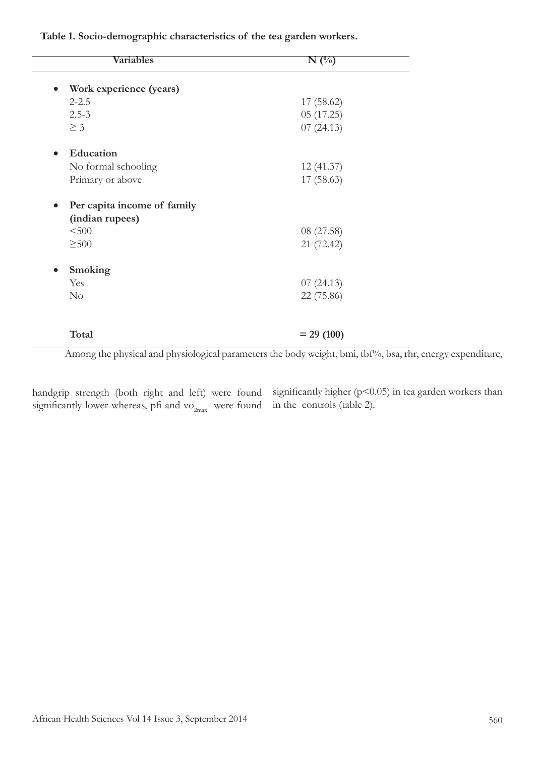| Variables                                | $N(\%)$     |
|------------------------------------------|-------------|
| Work experience (years)                  |             |
| $2 - 2.5$                                | 17(58.62)   |
| $2.5 - 3$                                | 05(17.25)   |
| $\geq$ 3                                 | 07(24.13)   |
| Education                                |             |
| No formal schooling                      | 12(41.37)   |
| Primary or above                         | 17 (58.63)  |
| Per capita income of family<br>$\bullet$ |             |
| (indian rupees)                          |             |
| < 500                                    | 08(27.58)   |
| $\geq 500$                               | 21(72.42)   |
| Smoking                                  |             |
| Yes                                      | 07(24.13)   |
| $\rm No$                                 | 22 (75.86)  |
|                                          |             |
| Total                                    | $= 29(100)$ |

**Table 1. Socio-demographic characteristics of the tea garden workers.**

Among the physical and physiological parameters the body weight, bmi, tbf%, bsa, rhr, energy expenditure,

handgrip strength (both right and left) were found significantly higher (p<0.05) in tea garden workers than significantly lower whereas, pfi and  $vo_{2max}$  were found in the controls (table 2).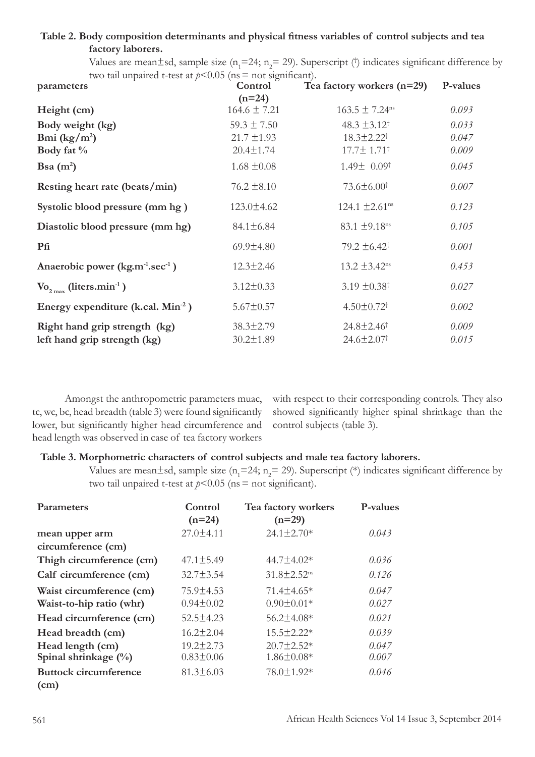**Table 2. Body composition determinants and physical fitness variables of control subjects and tea factory laborers.**

> Values are mean ±sd, sample size  $(n_1=24; n_2=29)$ . Superscript ( $\dagger$ ) indicates significant difference by two tail unpaired t-test at  $p \le 0.05$  (ns = not significant).

| parameters                                                    | Control                                               | Tea factory workers (n=29)                                                           | P-values                |
|---------------------------------------------------------------|-------------------------------------------------------|--------------------------------------------------------------------------------------|-------------------------|
| Height (cm)                                                   | $(n=24)$<br>$164.6 \pm 7.21$                          | $163.5 \pm 7.24$ ns                                                                  | 0.093                   |
| Body weight (kg)<br>Bmi $(kg/m^2)$<br>Body fat $\%$           | $59.3 \pm 7.50$<br>$21.7 \pm 1.93$<br>$20.4 \pm 1.74$ | 48.3 $\pm$ 3.12 <sup>†</sup><br>$18.3 \pm 2.22^{\dagger}$<br>17.7± 1.71 <sup>†</sup> | 0.033<br>0.047<br>0.009 |
| Bsa $(m^2)$                                                   | $1.68 \pm 0.08$                                       | $1.49\pm 0.09^{\dagger}$                                                             | 0.045                   |
| Resting heart rate (beats/min)                                | $76.2 \pm 8.10$                                       | $73.6 \pm 6.00^{\dagger}$                                                            | 0.007                   |
| Systolic blood pressure (mm hg)                               | $123.0 \pm 4.62$                                      | 124.1 $\pm$ 2.61 <sup>ns</sup>                                                       | 0.123                   |
| Diastolic blood pressure (mm hg)                              | $84.1 \pm 6.84$                                       | $83.1 \pm 9.18$ ns                                                                   | 0.105                   |
| Pfi                                                           | $69.9 \pm 4.80$                                       | $79.2 \pm 6.42^{\dagger}$                                                            | 0.001                   |
| Anaerobic power $(kg.m^{-1} sec^{-1})$                        | $12.3 \pm 2.46$                                       | $13.2 \pm 3.42$ <sup>ns</sup>                                                        | 0.453                   |
| $\mathrm{Vo}_{2\max}$ (liters.min <sup>-1</sup> )             | $3.12 \pm 0.33$                                       | 3.19 $\pm 0.38^{\dagger}$                                                            | 0.027                   |
| Energy expenditure (k.cal. $Min^{-2}$ )                       | $5.67 \pm 0.57$                                       | $4.50 \pm 0.72^{\dagger}$                                                            | 0.002                   |
| Right hand grip strength (kg)<br>left hand grip strength (kg) | $38.3 \pm 2.79$<br>$30.2 \pm 1.89$                    | $24.8 \pm 2.46^{\dagger}$<br>$24.6 \pm 2.07$ <sup>†</sup>                            | 0.009<br>0.015          |

Amongst the anthropometric parameters muac, tc, wc, bc, head breadth (table 3) were found significantly lower, but significantly higher head circumference and head length was observed in case of tea factory workers

with respect to their corresponding controls. They also showed significantly higher spinal shrinkage than the control subjects (table 3).

# **Table 3. Morphometric characters of control subjects and male tea factory laborers.**

Values are mean $\pm$ sd, sample size (n<sub>1</sub>=24; n<sub>2</sub>= 29). Superscript (\*) indicates significant difference by two tail unpaired t-test at  $p<0.05$  (ns = not significant).

| <b>Parameters</b>            | Control<br>$(n=24)$ | Tea factory workers<br>$(n=29)$ | P-values |
|------------------------------|---------------------|---------------------------------|----------|
| mean upper arm               | $27.0 \pm 4.11$     | $24.1 \pm 2.70*$                | 0.043    |
| circumference (cm)           |                     |                                 |          |
| Thigh circumference (cm)     | $47.1 \pm 5.49$     | $44.7 \pm 4.02*$                | 0.036    |
| Calf circumference (cm)      | $32.7 \pm 3.54$     | $31.8 \pm 2.52$ <sup>ns</sup>   | 0.126    |
| Waist circumference (cm)     | 75.9±4.53           | $71.4 \pm 4.65*$                | 0.047    |
| Waist-to-hip ratio (whr)     | $0.94 \pm 0.02$     | $0.90 \pm 0.01*$                | 0.027    |
| Head circumference (cm)      | $52.5 \pm 4.23$     | $56.2 \pm 4.08*$                | 0.021    |
| Head breadth (cm)            | $16.2 \pm 2.04$     | $15.5 \pm 2.22*$                | 0.039    |
| Head length (cm)             | $19.2 \pm 2.73$     | $20.7 \pm 2.52*$                | 0.047    |
| Spinal shrinkage $(\%)$      | $0.83 \pm 0.06$     | $1.86 \pm 0.08*$                | 0.007    |
| <b>Buttock circumference</b> | $81.3 \pm 6.03$     | $78.0 \pm 1.92*$                | 0.046    |
| (cm)                         |                     |                                 |          |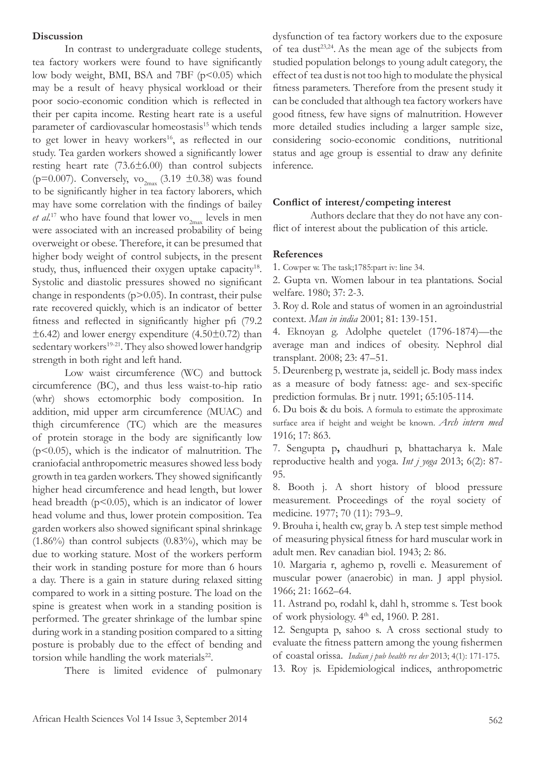# **Discussion**

In contrast to undergraduate college students, tea factory workers were found to have significantly low body weight, BMI, BSA and 7BF  $(p<0.05)$  which may be a result of heavy physical workload or their poor socio-economic condition which is reflected in their per capita income. Resting heart rate is a useful parameter of cardiovascular homeostasis<sup>15</sup> which tends to get lower in heavy workers<sup>16</sup>, as reflected in our study. Tea garden workers showed a significantly lower resting heart rate  $(73.6\pm6.00)$  than control subjects (p=0.007). Conversely,  $vo_{2max}$  (3.19 ±0.38) was found to be significantly higher in tea factory laborers, which may have some correlation with the findings of bailey *et al.*<sup>17</sup> who have found that lower  $\rm{vo}_{2\text{max}}$  levels in men were associated with an increased probability of being overweight or obese. Therefore, it can be presumed that higher body weight of control subjects, in the present study, thus, influenced their oxygen uptake capacity<sup>18</sup>. Systolic and diastolic pressures showed no significant change in respondents  $(p>0.05)$ . In contrast, their pulse rate recovered quickly, which is an indicator of better fitness and reflected in significantly higher pfi (79.2  $\pm$ 6.42) and lower energy expenditure (4.50 $\pm$ 0.72) than sedentary workers<sup>19-21</sup>. They also showed lower handgrip strength in both right and left hand.

Low waist circumference (WC) and buttock circumference (BC), and thus less waist-to-hip ratio (whr) shows ectomorphic body composition. In addition, mid upper arm circumference (MUAC) and thigh circumference (TC) which are the measures of protein storage in the body are significantly low  $(p<0.05)$ , which is the indicator of malnutrition. The craniofacial anthropometric measures showed less body growth in tea garden workers. They showed significantly higher head circumference and head length, but lower head breadth ( $p<0.05$ ), which is an indicator of lower head volume and thus, lower protein composition. Tea garden workers also showed significant spinal shrinkage  $(1.86\%)$  than control subjects  $(0.83\%)$ , which may be due to working stature. Most of the workers perform their work in standing posture for more than 6 hours a day. There is a gain in stature during relaxed sitting compared to work in a sitting posture. The load on the spine is greatest when work in a standing position is performed. The greater shrinkage of the lumbar spine during work in a standing position compared to a sitting posture is probably due to the effect of bending and torsion while handling the work materials<sup>22</sup>.

There is limited evidence of pulmonary

dysfunction of tea factory workers due to the exposure of tea dust<sup>23,24</sup>. As the mean age of the subjects from studied population belongs to young adult category, the effect of tea dust is not too high to modulate the physical fitness parameters. Therefore from the present study it can be concluded that although tea factory workers have good fitness, few have signs of malnutrition. However more detailed studies including a larger sample size, considering socio-economic conditions, nutritional status and age group is essential to draw any definite inference.

### **Conflict of interest/competing interest**

Authors declare that they do not have any conflict of interest about the publication of this article.

### **References**

1. Cowper w. The task;1785:part iv: line 34.

2. Gupta vn. Women labour in tea plantations. Social welfare. 1980; 37: 2-3.

3. Roy d. Role and status of women in an agroindustrial context. *Man in india* 2001; 81: 139-151.

4. Eknoyan g. Adolphe quetelet (1796-1874)—the average man and indices of obesity. Nephrol dial transplant. 2008; 23: 47–51.

5. Deurenberg p, westrate ja, seidell jc. Body mass index as a measure of body fatness: age- and sex-specific prediction formulas. Br j nutr. 1991; 65:105-114.

6. Du bois & du bois. A formula to estimate the approximate surface area if height and weight be known. *Arch intern med* 1916; 17: 863.

7. Sengupta p**,** chaudhuri p, bhattacharya k. Male reproductive health and yoga. *Int j yoga* 2013; 6(2): 87- 95.

8. Booth j. A short history of blood pressure measurement. Proceedings of the royal society of medicine. 1977; 70 (11): 793–9.

9. Brouha i, health cw, gray b. A step test simple method of measuring physical fitness for hard muscular work in adult men. Rev canadian biol. 1943; 2: 86.

10. Margaria r, aghemo p, rovelli e. Measurement of muscular power (anaerobic) in man. J appl physiol. 1966; 21: 1662–64.

11. Astrand po, rodahl k, dahl h, stromme s. Test book of work physiology.  $4<sup>th</sup>$  ed, 1960. P. 281.

12. Sengupta p, sahoo s. A cross sectional study to evaluate the fitness pattern among the young fishermen of coastal orissa.*Indian j pub health res dev* 2013; 4(1): 171-175.

13. Roy js. Epidemiological indices, anthropometric